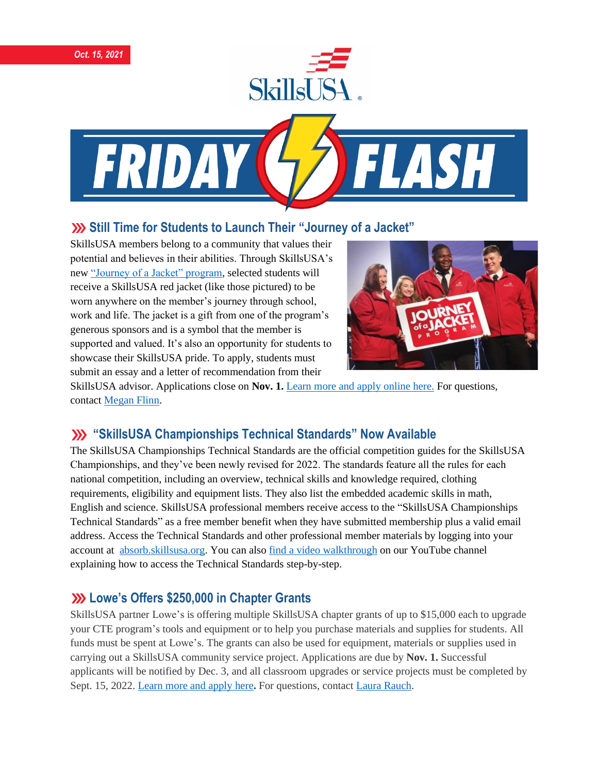



# **Still Time for Students to Launch Their "Journey of a Jacket"**

SkillsUSA members belong to a community that values their potential and believes in their abilities. Through SkillsUSA's new ["Journey of a Jacket" program,](https://www.skillsusa.org/programs/journey-of-a-jacket/) selected students will receive a SkillsUSA red jacket (like those pictured) to be worn anywhere on the member's journey through school, work and life. The jacket is a gift from one of the program's generous sponsors and is a symbol that the member is supported and valued. It's also an opportunity for students to showcase their SkillsUSA pride. To apply, students must submit an essay and a letter of recommendation from their



SkillsUSA advisor. Applications close on **Nov. 1.** Learn more [and apply online here.](https://www.skillsusa.org/programs/journey-of-a-jacket/) For questions, contact [Megan Flinn.](mailto:mflinn@skillsusa.org)

## **"SkillsUSA Championships Technical Standards" Now Available**

The SkillsUSA Championships Technical Standards are the official competition guides for the SkillsUSA Championships, and they've been newly revised for 2022. The standards feature all the rules for each national competition, including an overview, technical skills and knowledge required, clothing requirements, eligibility and equipment lists. They also list the embedded academic skills in math, English and science. SkillsUSA professional members receive access to the "SkillsUSA Championships Technical Standards" as a free member benefit when they have submitted membership plus a valid email address. Access the Technical Standards and other professional member materials by logging into your account at **absorb.skillsusa.org**. You can also [find a video walkthrough](https://www.youtube.com/watch?v=6aPOyinVX2E) on our YouTube channel explaining how to access the Technical Standards step-by-step.

## **Lowe's Offers \$250,000 in Chapter Grants**

SkillsUSA partner Lowe's is offering multiple SkillsUSA chapter grants of up to \$15,000 each to upgrade your CTE program's tools and equipment or to help you purchase materials and supplies for students. All funds must be spent at Lowe's. The grants can also be used for equipment, materials or supplies used in carrying out a SkillsUSA community service project. Applications are due by **Nov. 1.** Successful applicants will be notified by Dec. 3, and all classroom upgrades or service projects must be completed by Sept. 15, 2022. [Learn](https://skillsusa.wufoo.com/forms/qkabeax04tlmfy/) more and apply here**.** For questions, contact Laura [Rauch.](mailto:lrauch@skillsusa.org)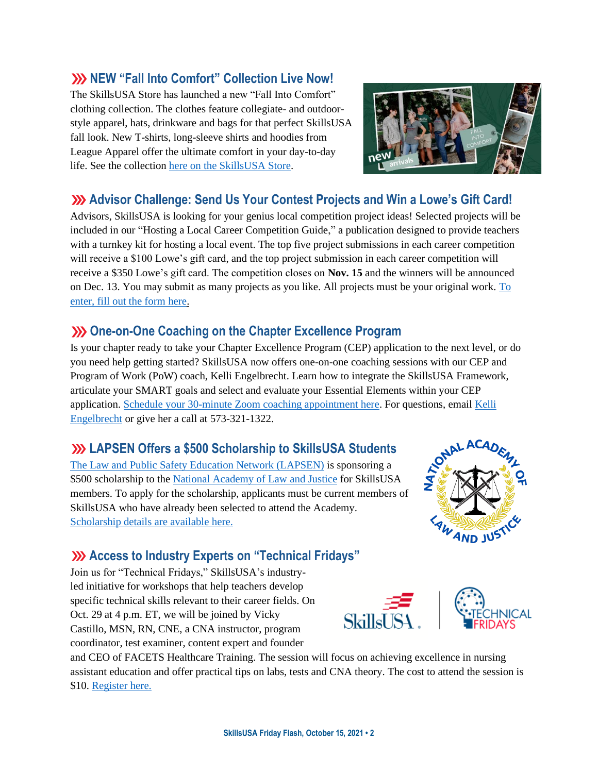#### **SkillsUSA Friday Flash, October 15, 2021 • 2**

#### **NEW "Fall Into Comfort" Collection Live Now!**

The SkillsUSA Store has launched a new "Fall Into Comfort" clothing collection. The clothes feature collegiate- and outdoorstyle apparel, hats, drinkware and bags for that perfect SkillsUSA fall look. New T-shirts, long-sleeve shirts and hoodies from League Apparel offer the ultimate comfort in your day-to-day life. See the collection [here on the SkillsUSA Store.](https://skillsusastore.mybrightsites.com/products?s%5Bf%5D%5Bc%5D%5B%5D=%2FApparel+Room%2FFall+Into+Comfort+Collection)

#### **Advisor Challenge: Send Us Your Contest Projects and Win a Lowe's Gift Card!**

Advisors, SkillsUSA is looking for your genius local competition project ideas! Selected projects will be included in our "Hosting a Local Career Competition Guide," a publication designed to provide teachers with a turnkey kit for hosting a local event. The top five project submissions in each career competition will receive a \$100 Lowe's gift card, and the top project submission in each career competition will receive a \$350 Lowe's gift card. The competition closes on **Nov. 15** and the winners will be announced on Dec. 13. You may submit as many projects as you like. All projects must be your original work. [To](https://www.skillsusa.org/competitions/2021-skillsusa-career-competition-project/)  [enter, fill out the form here.](https://www.skillsusa.org/competitions/2021-skillsusa-career-competition-project/)

## **XX** One-on-One Coaching on the Chapter Excellence Program

Is your chapter ready to take your Chapter Excellence Program (CEP) application to the next level, or do you need help getting started? SkillsUSA now offers one-on-one coaching sessions with our CEP and Program of Work (PoW) coach, Kelli Engelbrecht. Learn how to integrate the SkillsUSA Framework, articulate your SMART goals and select and evaluate your Essential Elements within your CEP application. [Schedule your 30-minute Zoom coaching appointment here.](https://calendly.com/skillsusakelli) For questions, email [Kelli](mailto:kengelbrecht@skillsusa.org)  [Engelbrecht](mailto:kengelbrecht@skillsusa.org) or give her a call at 573-321-1322.

#### **LAPSEN Offers a \$500 Scholarship to SkillsUSA Students**

[The Law and Public Safety Education Network \(LAPSEN\)](https://lapsen.org/) is sponsoring a \$500 scholarship to the [National Academy of Law and Justice](https://national-academy.org/) for SkillsUSA members. To apply for the scholarship, applicants must be current members of SkillsUSA who have already been selected to attend the Academy. [Scholarship details are available here.](https://national-academy.org/scholarships/)

## **Access to Industry Experts on "Technical Fridays"**

Join us for "Technical Fridays," SkillsUSA's industryled initiative for workshops that help teachers develop specific technical skills relevant to their career fields. On Oct. 29 at 4 p.m. ET, we will be joined by Vicky Castillo, MSN, RN, CNE, a CNA instructor, program coordinator, test examiner, content expert and founder

and CEO of FACETS Healthcare Training. The session will focus on achieving excellence in nursing assistant education and offer practical tips on labs, tests and CNA theory. The cost to attend the session is \$10. [Register here.](https://skillsusa.wufoo.com/forms/love-and-logic-and-technical-fridays-registration)

 $S$ kill $s\bar{l}$   $SSA$